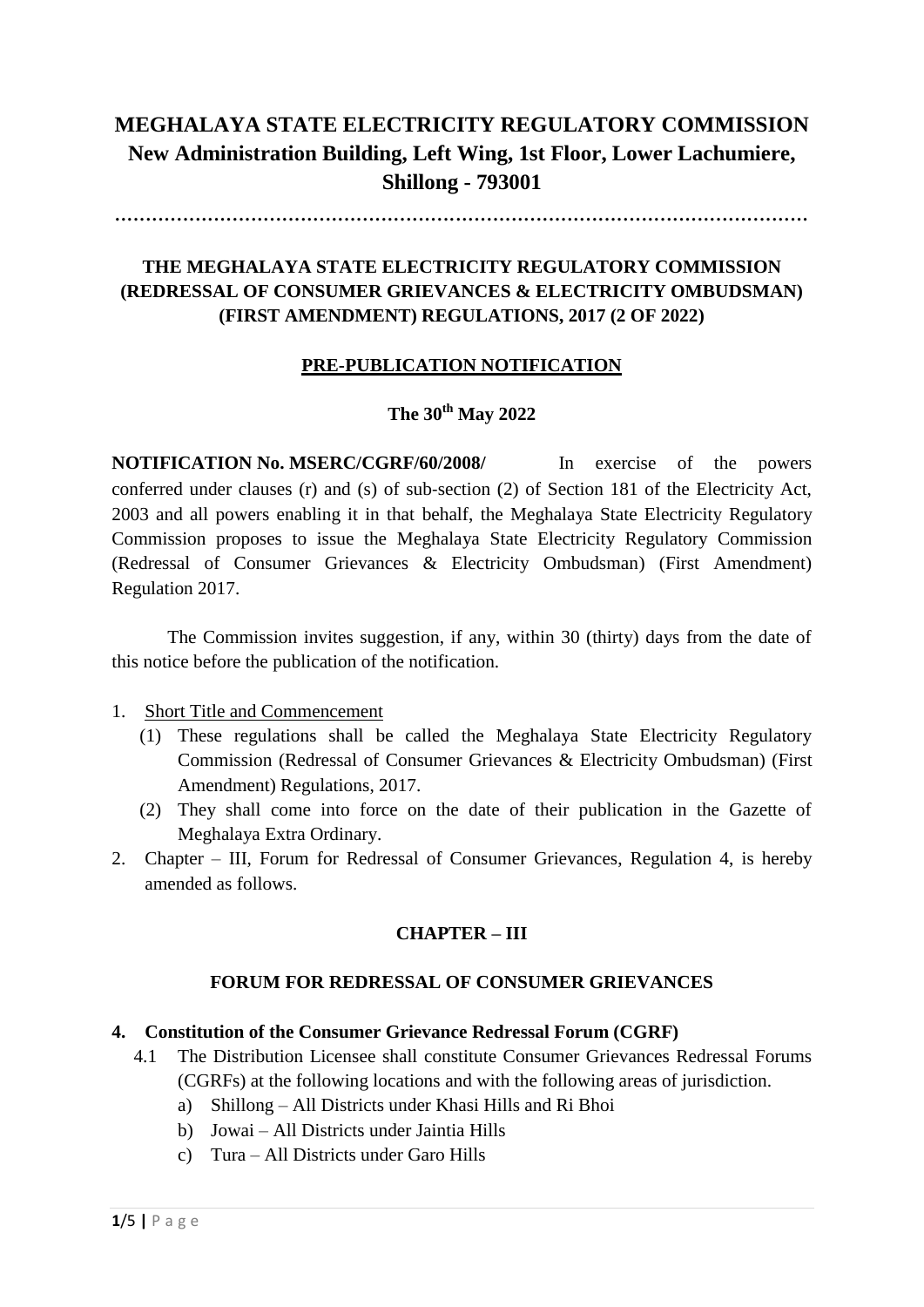# **MEGHALAYA STATE ELECTRICITY REGULATORY COMMISSION New Administration Building, Left Wing, 1st Floor, Lower Lachumiere, Shillong - 793001**

................................................................................................................

## **THE MEGHALAYA STATE ELECTRICITY REGULATORY COMMISSION (REDRESSAL OF CONSUMER GRIEVANCES & ELECTRICITY OMBUDSMAN) (FIRST AMENDMENT) REGULATIONS, 2017 (2 OF 2022)**

### **PRE-PUBLICATION NOTIFICATION**

# **The 30th May 2022**

**NOTIFICATION No. MSERC/CGRF/60/2008/** In exercise of the powers conferred under clauses (r) and (s) of sub‐section (2) of Section 181 of the Electricity Act, 2003 and all powers enabling it in that behalf, the Meghalaya State Electricity Regulatory Commission proposes to issue the Meghalaya State Electricity Regulatory Commission (Redressal of Consumer Grievances & Electricity Ombudsman) (First Amendment) Regulation 2017.

The Commission invites suggestion, if any, within 30 (thirty) days from the date of this notice before the publication of the notification.

- 1. Short Title and Commencement
	- (1) These regulations shall be called the Meghalaya State Electricity Regulatory Commission (Redressal of Consumer Grievances & Electricity Ombudsman) (First Amendment) Regulations, 2017.
	- (2) They shall come into force on the date of their publication in the Gazette of Meghalaya Extra Ordinary.
- 2. Chapter III, Forum for Redressal of Consumer Grievances, Regulation 4, is hereby amended as follows.

### **CHAPTER – III**

#### **FORUM FOR REDRESSAL OF CONSUMER GRIEVANCES**

#### **4. Constitution of the Consumer Grievance Redressal Forum (CGRF)**

- 4.1 The Distribution Licensee shall constitute Consumer Grievances Redressal Forums (CGRFs) at the following locations and with the following areas of jurisdiction.
	- a) Shillong All Districts under Khasi Hills and Ri Bhoi
	- b) Jowai All Districts under Jaintia Hills
	- c) Tura All Districts under Garo Hills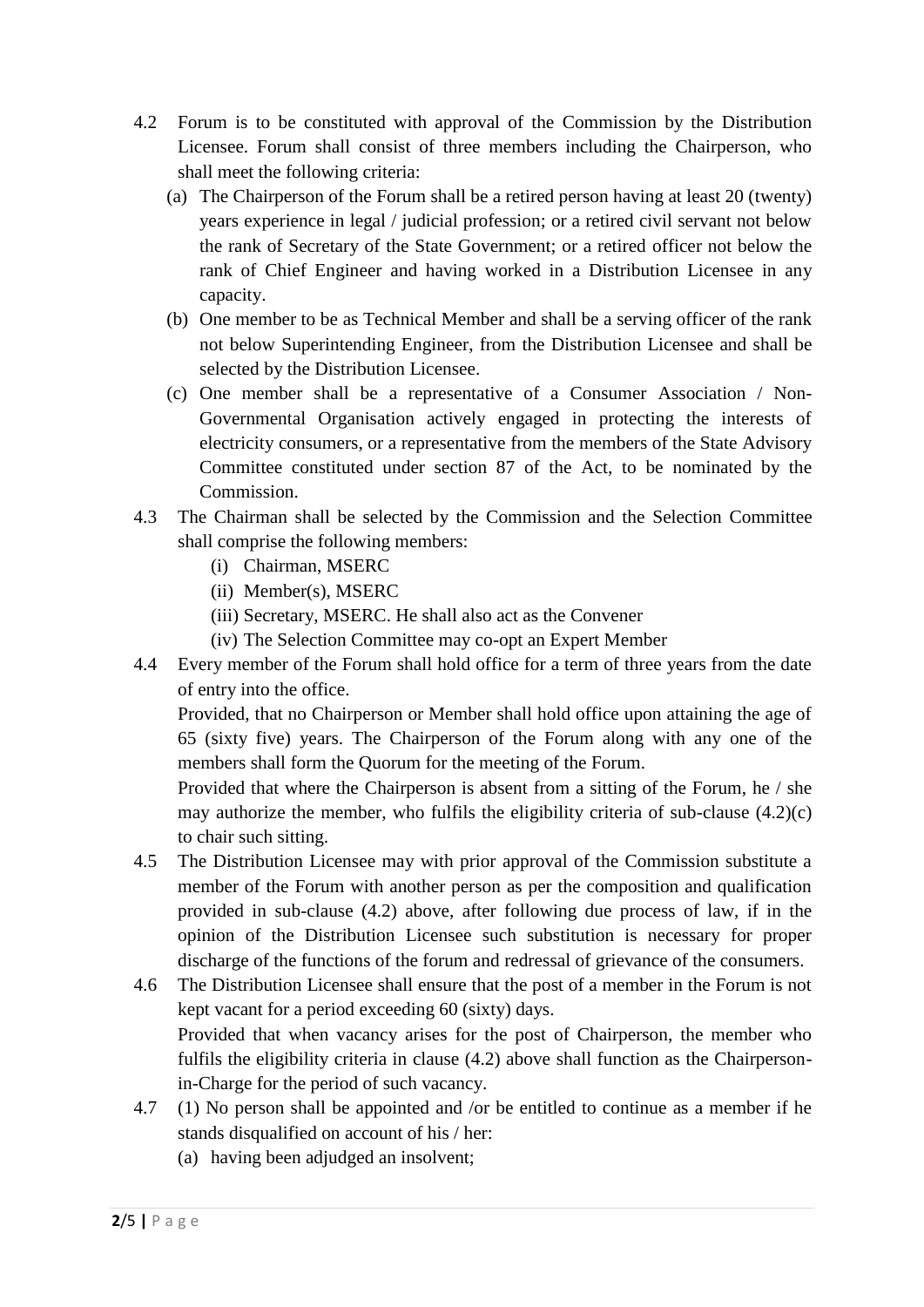- 4.2 Forum is to be constituted with approval of the Commission by the Distribution Licensee. Forum shall consist of three members including the Chairperson, who shall meet the following criteria:
	- (a) The Chairperson of the Forum shall be a retired person having at least 20 (twenty) years experience in legal / judicial profession; or a retired civil servant not below the rank of Secretary of the State Government; or a retired officer not below the rank of Chief Engineer and having worked in a Distribution Licensee in any capacity.
	- (b) One member to be as Technical Member and shall be a serving officer of the rank not below Superintending Engineer, from the Distribution Licensee and shall be selected by the Distribution Licensee.
	- (c) One member shall be a representative of a Consumer Association / Non-Governmental Organisation actively engaged in protecting the interests of electricity consumers, or a representative from the members of the State Advisory Committee constituted under section 87 of the Act, to be nominated by the Commission.
- 4.3 The Chairman shall be selected by the Commission and the Selection Committee shall comprise the following members:
	- (i) Chairman, MSERC
	- (ii) Member(s), MSERC
	- (iii) Secretary, MSERC. He shall also act as the Convener
	- (iv) The Selection Committee may co-opt an Expert Member
- 4.4 Every member of the Forum shall hold office for a term of three years from the date of entry into the office.

Provided, that no Chairperson or Member shall hold office upon attaining the age of 65 (sixty five) years. The Chairperson of the Forum along with any one of the members shall form the Quorum for the meeting of the Forum.

Provided that where the Chairperson is absent from a sitting of the Forum, he / she may authorize the member, who fulfils the eligibility criteria of sub-clause (4.2)(c) to chair such sitting.

- 4.5 The Distribution Licensee may with prior approval of the Commission substitute a member of the Forum with another person as per the composition and qualification provided in sub-clause (4.2) above, after following due process of law, if in the opinion of the Distribution Licensee such substitution is necessary for proper discharge of the functions of the forum and redressal of grievance of the consumers.
- 4.6 The Distribution Licensee shall ensure that the post of a member in the Forum is not kept vacant for a period exceeding 60 (sixty) days. Provided that when vacancy arises for the post of Chairperson, the member who fulfils the eligibility criteria in clause (4.2) above shall function as the Chairpersonin-Charge for the period of such vacancy.
- 4.7 (1) No person shall be appointed and /or be entitled to continue as a member if he stands disqualified on account of his / her:
	- (a) having been adjudged an insolvent;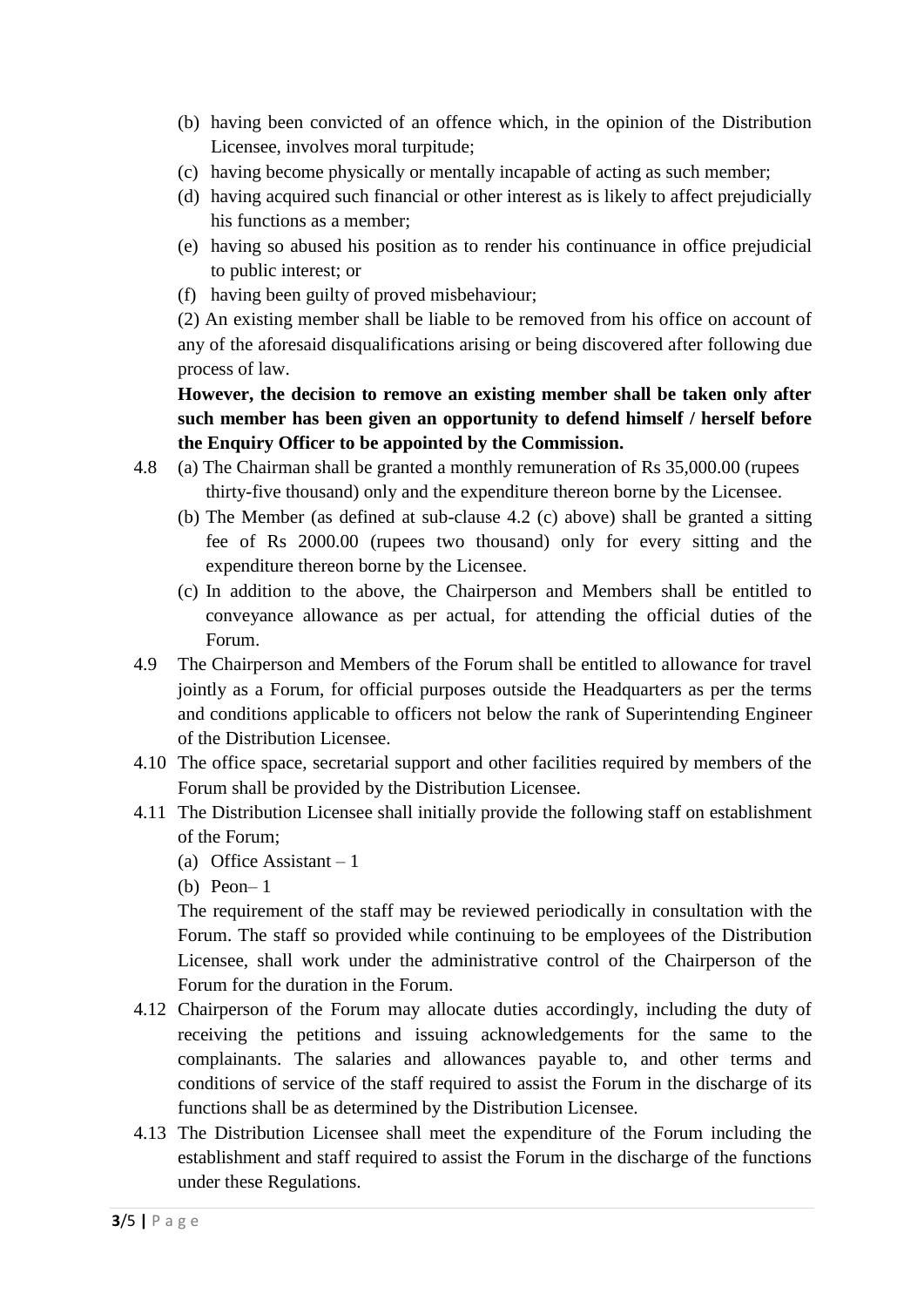- (b) having been convicted of an offence which, in the opinion of the Distribution Licensee, involves moral turpitude;
- (c) having become physically or mentally incapable of acting as such member;
- (d) having acquired such financial or other interest as is likely to affect prejudicially his functions as a member;
- (e) having so abused his position as to render his continuance in office prejudicial to public interest; or
- (f) having been guilty of proved misbehaviour;

(2) An existing member shall be liable to be removed from his office on account of any of the aforesaid disqualifications arising or being discovered after following due process of law.

**However, the decision to remove an existing member shall be taken only after such member has been given an opportunity to defend himself / herself before the Enquiry Officer to be appointed by the Commission.** 

- 4.8 (a) The Chairman shall be granted a monthly remuneration of Rs 35,000.00 (rupees thirty-five thousand) only and the expenditure thereon borne by the Licensee.
	- (b) The Member (as defined at sub-clause 4.2 (c) above) shall be granted a sitting fee of Rs 2000.00 (rupees two thousand) only for every sitting and the expenditure thereon borne by the Licensee.
	- (c) In addition to the above, the Chairperson and Members shall be entitled to conveyance allowance as per actual, for attending the official duties of the Forum.
- 4.9 The Chairperson and Members of the Forum shall be entitled to allowance for travel jointly as a Forum, for official purposes outside the Headquarters as per the terms and conditions applicable to officers not below the rank of Superintending Engineer of the Distribution Licensee.
- 4.10 The office space, secretarial support and other facilities required by members of the Forum shall be provided by the Distribution Licensee.
- 4.11 The Distribution Licensee shall initially provide the following staff on establishment of the Forum;
	- (a) Office Assistant  $-1$
	- (b) Peon– 1

The requirement of the staff may be reviewed periodically in consultation with the Forum. The staff so provided while continuing to be employees of the Distribution Licensee, shall work under the administrative control of the Chairperson of the Forum for the duration in the Forum.

- 4.12 Chairperson of the Forum may allocate duties accordingly, including the duty of receiving the petitions and issuing acknowledgements for the same to the complainants. The salaries and allowances payable to, and other terms and conditions of service of the staff required to assist the Forum in the discharge of its functions shall be as determined by the Distribution Licensee.
- 4.13 The Distribution Licensee shall meet the expenditure of the Forum including the establishment and staff required to assist the Forum in the discharge of the functions under these Regulations.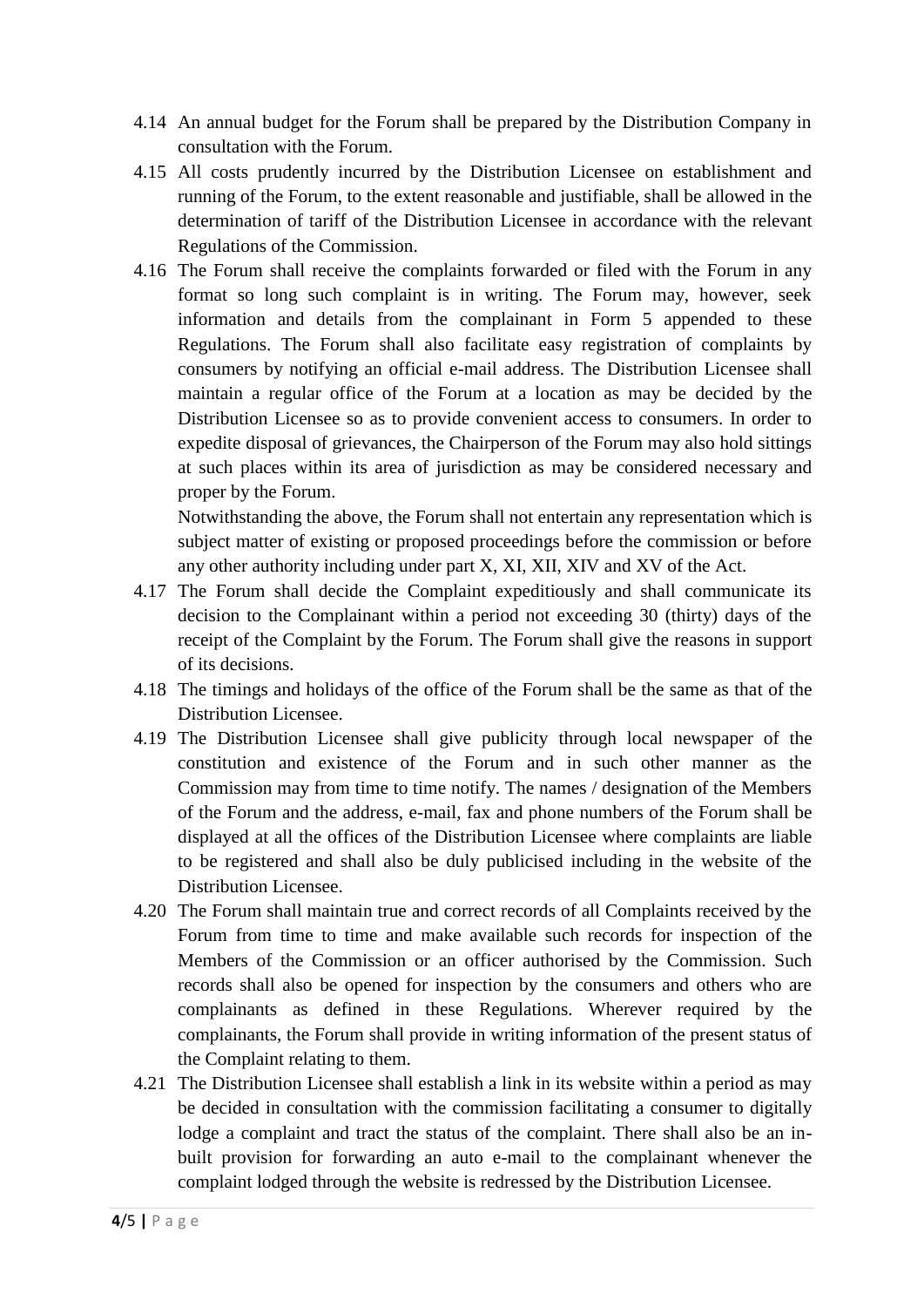- 4.14 An annual budget for the Forum shall be prepared by the Distribution Company in consultation with the Forum.
- 4.15 All costs prudently incurred by the Distribution Licensee on establishment and running of the Forum, to the extent reasonable and justifiable, shall be allowed in the determination of tariff of the Distribution Licensee in accordance with the relevant Regulations of the Commission.
- 4.16 The Forum shall receive the complaints forwarded or filed with the Forum in any format so long such complaint is in writing. The Forum may, however, seek information and details from the complainant in Form 5 appended to these Regulations. The Forum shall also facilitate easy registration of complaints by consumers by notifying an official e-mail address. The Distribution Licensee shall maintain a regular office of the Forum at a location as may be decided by the Distribution Licensee so as to provide convenient access to consumers. In order to expedite disposal of grievances, the Chairperson of the Forum may also hold sittings at such places within its area of jurisdiction as may be considered necessary and proper by the Forum.

Notwithstanding the above, the Forum shall not entertain any representation which is subject matter of existing or proposed proceedings before the commission or before any other authority including under part X, XI, XII, XIV and XV of the Act.

- 4.17 The Forum shall decide the Complaint expeditiously and shall communicate its decision to the Complainant within a period not exceeding 30 (thirty) days of the receipt of the Complaint by the Forum. The Forum shall give the reasons in support of its decisions.
- 4.18 The timings and holidays of the office of the Forum shall be the same as that of the Distribution Licensee.
- 4.19 The Distribution Licensee shall give publicity through local newspaper of the constitution and existence of the Forum and in such other manner as the Commission may from time to time notify. The names / designation of the Members of the Forum and the address, e-mail, fax and phone numbers of the Forum shall be displayed at all the offices of the Distribution Licensee where complaints are liable to be registered and shall also be duly publicised including in the website of the Distribution Licensee.
- 4.20 The Forum shall maintain true and correct records of all Complaints received by the Forum from time to time and make available such records for inspection of the Members of the Commission or an officer authorised by the Commission. Such records shall also be opened for inspection by the consumers and others who are complainants as defined in these Regulations. Wherever required by the complainants, the Forum shall provide in writing information of the present status of the Complaint relating to them.
- 4.21 The Distribution Licensee shall establish a link in its website within a period as may be decided in consultation with the commission facilitating a consumer to digitally lodge a complaint and tract the status of the complaint. There shall also be an inbuilt provision for forwarding an auto e-mail to the complainant whenever the complaint lodged through the website is redressed by the Distribution Licensee.